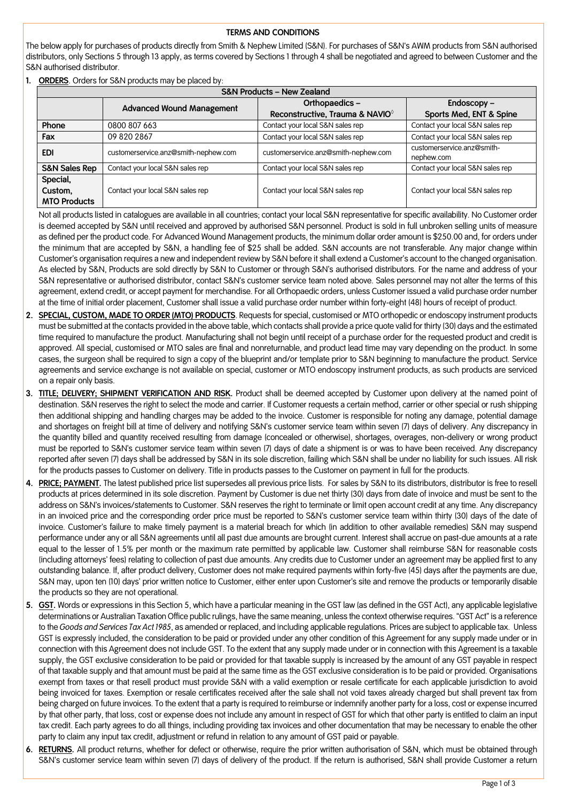## **TERMS AND CONDITIONS**

The below apply for purchases of products directly from Smith & Nephew Limited (S&N). For purchases of S&N's AWM products from S&N authorised distributors, only Sections 5 through 13 apply, as terms covered by Sections 1 through 4 shall be negotiated and agreed to between Customer and the S&N authorised distributor.

**1. ORDERS**. Orders for S&N products may be placed by:

| <b>S&amp;N Products - New Zealand</b> |                                      |                                      |                                          |
|---------------------------------------|--------------------------------------|--------------------------------------|------------------------------------------|
|                                       | <b>Advanced Wound Management</b>     | Orthopaedics-                        | Endoscopy-                               |
|                                       |                                      | Reconstructive, Trauma & NAVIO®      | Sports Med, ENT & Spine                  |
| Phone                                 | 0800 807 663                         | Contact your local S&N sales rep     | Contact your local S&N sales rep         |
| Fax                                   | 09 820 2867                          | Contact your local S&N sales rep     | Contact your local S&N sales rep         |
| <b>EDI</b>                            | customerservice.anz@smith-nephew.com | customerservice.anz@smith-nephew.com | customerservice.anz@smith-<br>nephew.com |
| <b>S&amp;N Sales Rep</b>              | Contact your local S&N sales rep     | Contact your local S&N sales rep     | Contact your local S&N sales rep         |
| Special,                              |                                      |                                      |                                          |
| Custom,                               | Contact your local S&N sales rep     | Contact your local S&N sales rep     | Contact your local S&N sales rep         |
| <b>MTO Products</b>                   |                                      |                                      |                                          |

Not all products listed in catalogues are available in all countries; contact your local S&N representative for specific availability. No Customer order is deemed accepted by S&N until received and approved by authorised S&N personnel. Product is sold in full unbroken selling units of measure as defined per the product code. For Advanced Wound Management products, the minimum dollar order amount is \$250.00 and, for orders under the minimum that are accepted by S&N, a handling fee of \$25 shall be added. S&N accounts are not transferable. Any major change within Customer's organisation requires a new and independent review by S&N before it shall extend a Customer's account to the changed organisation. As elected by S&N, Products are sold directly by S&N to Customer or through S&N's authorised distributors. For the name and address of your S&N representative or authorised distributor, contact S&N's customer service team noted above. Sales personnel may not alter the terms of this agreement, extend credit, or accept payment for merchandise. For all Orthopaedic orders, unless Customer issued a valid purchase order number at the time of initial order placement, Customer shall issue a valid purchase order number within forty-eight (48) hours of receipt of product.

- **2. SPECIAL, CUSTOM, MADE TO ORDER (MTO) PRODUCTS**. Requests for special, customised or MTO orthopedic or endoscopy instrument products must be submitted at the contacts provided in the above table, which contacts shall provide a price quote valid for thirty (30) days and the estimated time required to manufacture the product. Manufacturing shall not begin until receipt of a purchase order for the requested product and credit is approved. All special, customised or MTO sales are final and nonreturnable, and product lead time may vary depending on the product. In some cases, the surgeon shall be required to sign a copy of the blueprint and/or template prior to S&N beginning to manufacture the product. Service agreements and service exchange is not available on special, customer or MTO endoscopy instrument products, as such products are serviced on a repair only basis.
- **3. TITLE; DELIVERY; SHIPMENT VERIFICATION AND RISK.** Product shall be deemed accepted by Customer upon delivery at the named point of destination. S&N reserves the right to select the mode and carrier. If Customer requests a certain method, carrier or other special or rush shipping then additional shipping and handling charges may be added to the invoice. Customer is responsible for noting any damage, potential damage and shortages on freight bill at time of delivery and notifying S&N's customer service team within seven (7) days of delivery. Any discrepancy in the quantity billed and quantity received resulting from damage (concealed or otherwise), shortages, overages, non-delivery or wrong product must be reported to S&N's customer service team within seven (7) days of date a shipment is or was to have been received. Any discrepancy reported after seven (7) days shall be addressed by S&N in its sole discretion, failing which S&N shall be under no liability for such issues. All risk for the products passes to Customer on delivery. Title in products passes to the Customer on payment in full for the products.
- **4. PRICE; PAYMENT.** The latest published price list supersedes all previous price lists. For sales by S&N to its distributors, distributor is free to resell products at prices determined in its sole discretion. Payment by Customer is due net thirty (30) days from date of invoice and must be sent to the address on S&N's invoices/statements to Customer. S&N reserves the right to terminate or limit open account credit at any time. Any discrepancy in an invoiced price and the corresponding order price must be reported to S&N's customer service team within thirty (30) days of the date of invoice. Customer's failure to make timely payment is a material breach for which (in addition to other available remedies) S&N may suspend performance under any or all S&N agreements until all past due amounts are brought current. Interest shall accrue on past-due amounts at a rate equal to the lesser of 1.5% per month or the maximum rate permitted by applicable law. Customer shall reimburse S&N for reasonable costs (including attorneys' fees) relating to collection of past due amounts. Any credits due to Customer under an agreement may be applied first to any outstanding balance. If, after product delivery, Customer does not make required payments within forty-five (45) days after the payments are due, S&N may, upon ten (10) days' prior written notice to Customer, either enter upon Customer's site and remove the products or temporarily disable the products so they are not operational.
- **5. GST.** Words or expressions in this Section 5, which have a particular meaning in the GST law (as defined in the GST Act), any applicable legislative determinations or Australian Taxation Office public rulings, have the same meaning, unless the context otherwise requires. "GST Act" is a reference to the *Goods and Services Tax Act 1985*, as amended or replaced, and including applicable regulations. Prices are subject to applicable tax. Unless GST is expressly included, the consideration to be paid or provided under any other condition of this Agreement for any supply made under or in connection with this Agreement does not include GST. To the extent that any supply made under or in connection with this Agreement is a taxable supply, the GST exclusive consideration to be paid or provided for that taxable supply is increased by the amount of any GST payable in respect of that taxable supply and that amount must be paid at the same time as the GST exclusive consideration is to be paid or provided. Organisations exempt from taxes or that resell product must provide S&N with a valid exemption or resale certificate for each applicable jurisdiction to avoid being invoiced for taxes. Exemption or resale certificates received after the sale shall not void taxes already charged but shall prevent tax from being charged on future invoices. To the extent that a party is required to reimburse or indemnify another party for a loss, cost or expense incurred by that other party, that loss, cost or expense does not include any amount in respect of GST for which that other party is entitled to claim an input tax credit. Each party agrees to do all things, including providing tax invoices and other documentation that may be necessary to enable the other party to claim any input tax credit, adjustment or refund in relation to any amount of GST paid or payable.
- **6. RETURNS.** All product returns, whether for defect or otherwise, require the prior written authorisation of S&N, which must be obtained through S&N's customer service team within seven (7) days of delivery of the product. If the return is authorised, S&N shall provide Customer a return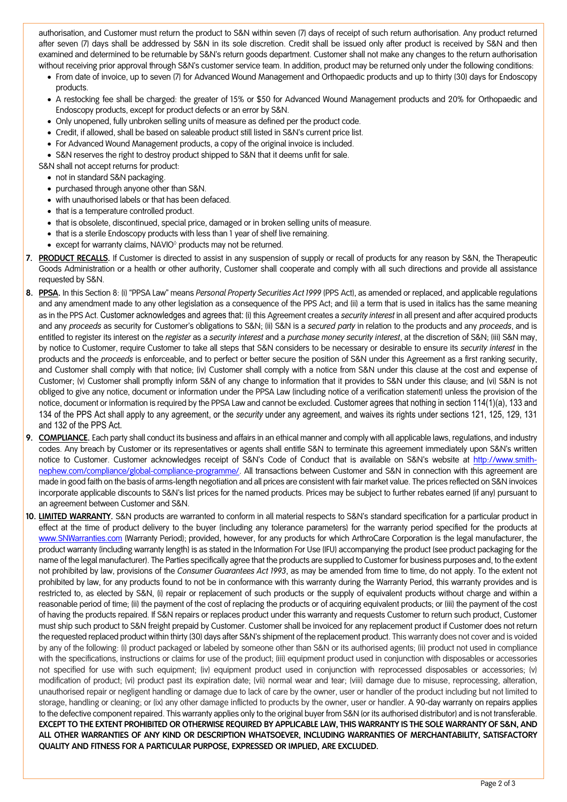authorisation, and Customer must return the product to S&N within seven (7) days of receipt of such return authorisation. Any product returned after seven (7) days shall be addressed by S&N in its sole discretion. Credit shall be issued only after product is received by S&N and then examined and determined to be returnable by S&N's return goods department. Customer shall not make any changes to the return authorisation without receiving prior approval through S&N's customer service team. In addition, product may be returned only under the following conditions:

- From date of invoice, up to seven (7) for Advanced Wound Management and Orthopaedic products and up to thirty (30) days for Endoscopy products.
- A restocking fee shall be charged: the greater of 15% or \$50 for Advanced Wound Management products and 20% for Orthopaedic and Endoscopy products, except for product defects or an error by S&N.
- Only unopened, fully unbroken selling units of measure as defined per the product code.
- Credit, if allowed, shall be based on saleable product still listed in S&N's current price list.
- For Advanced Wound Management products, a copy of the original invoice is included.
- S&N reserves the right to destroy product shipped to S&N that it deems unfit for sale.
- S&N shall not accept returns for product:
	- not in standard S&N packaging.
	- purchased through anyone other than S&N.
	- with unauthorised labels or that has been defaced.
	- that is a temperature controlled product.
	- that is obsolete, discontinued, special price, damaged or in broken selling units of measure.
	- that is a sterile Endoscopy products with less than 1 year of shelf live remaining.
	- except for warranty claims, NAVIO<sup>®</sup> products may not be returned.
- **7. PRODUCT RECALLS.** If Customer is directed to assist in any suspension of supply or recall of products for any reason by S&N, the Therapeutic Goods Administration or a health or other authority, Customer shall cooperate and comply with all such directions and provide all assistance requested by S&N.
- **8. PPSA.** In this Section 8: (i) "PPSA Law" means *Personal Property Securities Act 1999* (PPS Act), as amended or replaced, and applicable regulations and any amendment made to any other legislation as a consequence of the PPS Act; and (ii) a term that is used in italics has the same meaning as in the PPS Act. Customer acknowledges and agrees that: (i) this Agreement creates a *security interest* in all present and after acquired products and any *proceeds* as security for Customer's obligations to S&N; (ii) S&N is a *secured party* in relation to the products and any *proceeds*, and is entitled to register its interest on the *register* as a *security interest* and a *purchase money security interest*, at the discretion of S&N; (iii) S&N may, by notice to Customer, require Customer to take all steps that S&N considers to be necessary or desirable to ensure its *security interest* in the products and the *proceeds* is enforceable, and to perfect or better secure the position of S&N under this Agreement as a first ranking security, and Customer shall comply with that notice; (iv) Customer shall comply with a notice from S&N under this clause at the cost and expense of Customer; (v) Customer shall promptly inform S&N of any change to information that it provides to S&N under this clause; and (vi) S&N is not obliged to give any notice, document or information under the PPSA Law (including notice of a verification statement) unless the provision of the notice, document or information is required by the PPSA Law and cannot be excluded. Customer agrees that nothing in section 114(1)(a), 133 and 134 of the PPS Act shall apply to any agreement, or the *security* under any agreement, and waives its rights under sections 121, 125, 129, 131 and 132 of the PPS Act.
- **9. COMPLIANCE.** Each party shall conduct its business and affairs in an ethical manner and comply with all applicable laws, regulations, and industry codes. Any breach by Customer or its representatives or agents shall entitle S&N to terminate this agreement immediately upon S&N's written notice to Customer. Customer acknowledges receipt of S&N's Code of Conduct that is available on S&N's website at [http://www.smith](http://www.smith-nephew.com/compliance/global-compliance-programme/)[nephew.com/compliance/global-compliance-programme/.](http://www.smith-nephew.com/compliance/global-compliance-programme/) All transactions between Customer and S&N in connection with this agreement are made in good faith on the basis of arms-length negotiation and all prices are consistent with fair market value. The prices reflected on S&N invoices incorporate applicable discounts to S&N's list prices for the named products. Prices may be subject to further rebates earned (if any) pursuant to an agreement between Customer and S&N.
- **10. LIMITED WARRANTY.** S&N products are warranted to conform in all material respects to S&N's standard specification for a particular product in effect at the time of product delivery to the buyer (including any tolerance parameters) for the warranty period specified for the products at [www.SNWarranties.com](http://www.snwarranties.com/) (Warranty Period); provided, however, for any products for which ArthroCare Corporation is the legal manufacturer, the product warranty (including warranty length) is as stated in the Information For Use (IFU) accompanying the product (see product packaging for the name of the legal manufacturer). The Parties specifically agree that the products are supplied to Customer for business purposes and, to the extent not prohibited by law, provisions of the *Consumer Guarantees Act 1993*, as may be amended from time to time, do not apply. To the extent not prohibited by law, for any products found to not be in conformance with this warranty during the Warranty Period, this warranty provides and is restricted to, as elected by S&N, (i) repair or replacement of such products or the supply of equivalent products without charge and within a reasonable period of time; (ii) the payment of the cost of replacing the products or of acquiring equivalent products; or (iii) the payment of the cost of having the products repaired. If S&N repairs or replaces product under this warranty and requests Customer to return such product, Customer must ship such product to S&N freight prepaid by Customer. Customer shall be invoiced for any replacement product if Customer does not return the requested replaced product within thirty (30) days after S&N's shipment of the replacement product. This warranty does not cover and is voided by any of the following: (i) product packaged or labeled by someone other than S&N or its authorised agents; (ii) product not used in compliance with the specifications, instructions or claims for use of the product; (iii) equipment product used in conjunction with disposables or accessories not specified for use with such equipment; (iv) equipment product used in conjunction with reprocessed disposables or accessories; (v) modification of product; (vi) product past its expiration date; (vii) normal wear and tear; (viii) damage due to misuse, reprocessing, alteration, unauthorised repair or negligent handling or damage due to lack of care by the owner, user or handler of the product including but not limited to storage, handling or cleaning; or (ix) any other damage inflicted to products by the owner, user or handler. A 90-day warranty on repairs applies to the defective component repaired. This warranty applies only to the original buyer from S&N (or its authorised distributor) and is not transferable. **EXCEPT TO THE EXTENT PROHIBITED OR OTHERWISE REQUIRED BY APPLICABLE LAW, THIS WARRANTY IS THE SOLE WARRANTY OF S&N, AND ALL OTHER WARRANTIES OF ANY KIND OR DESCRIPTION WHATSOEVER, INCLUDING WARRANTIES OF MERCHANTABILITY, SATISFACTORY QUALITY AND FITNESS FOR A PARTICULAR PURPOSE, EXPRESSED OR IMPLIED, ARE EXCLUDED.**